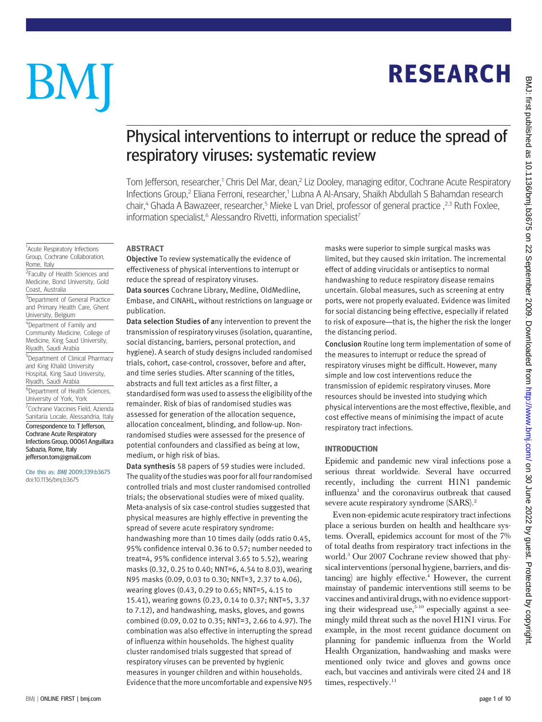## RESEARCH

# BM

<sup>1</sup>Acute Respiratory Infections Group, Cochrane Collaboration,

<sup>2</sup> Faculty of Health Sciences and Medicine, Bond University, Gold

<sup>3</sup>Department of General Practice and Primary Health Care, Ghent

5 Department of Clinical Pharmacy and King Khalid University Hospital, King Saud University, Riyadh, Saudi Arabia

6 Department of Health Sciences, University of York, York <sup>7</sup>Cochrane Vaccines Field, Azienda Sanitaria Locale, Alessandria, Italy Correspondence to: T Jefferson, Cochrane Acute Respiratory Infections Group, 00061 Anguillara

Rome, Italy

Coast, Australia

University, Belgium <sup>4</sup>Department of Family and Community Medicine, College of Medicine, King Saud University, Riyadh, Saudi Arabia

Sabazia, Rome, Italy jefferson.tom@gmail.com Cite this as: BMJ 2009;339:b3675 doi:10.1136/bmj.b3675

### Physical interventions to interrupt or reduce the spread of respiratory viruses: systematic review

Tom Jefferson, researcher,<sup>1</sup> Chris Del Mar, dean,<sup>2</sup> Liz Dooley, managing editor, Cochrane Acute Respiratory Infections Group,<sup>2</sup> Eliana Ferroni, researcher,<sup>1</sup> Lubna A Al-Ansary, Shaikh Abdullah S Bahamdan research chair,<sup>4</sup> Ghada A Bawazeer, researcher,<sup>5</sup> Mieke L van Driel, professor of general practice, <sup>2,3</sup> Ruth Foxlee, information specialist,<sup>6</sup> Alessandro Rivetti, information specialist<sup>7</sup>

#### ABSTRACT

Objective To review systematically the evidence of effectiveness of physical interventions to interrupt or reduce the spread of respiratory viruses.

Data sources Cochrane Library, Medline, OldMedline, Embase, and CINAHL, without restrictions on language or publication.

Data selection Studies of any intervention to prevent the transmission of respiratory viruses (isolation, quarantine, social distancing, barriers, personal protection, and hygiene). A search of study designs included randomised trials, cohort, case-control, crossover, before and after, and time series studies. After scanning of the titles, abstracts and full text articles as a first filter, a standardised form was used to assess the eligibility of the remainder. Risk of bias of randomised studies was assessed for generation of the allocation sequence, allocation concealment, blinding, and follow-up. Nonrandomised studies were assessed for the presence of potential confounders and classified as being at low, medium, or high risk of bias.

Data synthesis 58 papers of 59 studies were included. The quality of the studies was poor for all four randomised controlled trials and most cluster randomised controlled trials; the observational studies were of mixed quality. Meta-analysis of six case-control studies suggested that physical measures are highly effective in preventing the spread of severe acute respiratory syndrome: handwashing more than 10 times daily (odds ratio 0.45, 95% confidence interval 0.36 to 0.57; number needed to treat=4, 95% confidence interval 3.65 to 5.52), wearing masks (0.32, 0.25 to 0.40; NNT=6, 4.54 to 8.03), wearing N95 masks (0.09, 0.03 to 0.30; NNT=3, 2.37 to 4.06), wearing gloves (0.43, 0.29 to 0.65; NNT=5, 4.15 to 15.41), wearing gowns (0.23, 0.14 to 0.37; NNT=5, 3.37 to 7.12), and handwashing, masks, gloves, and gowns combined (0.09, 0.02 to 0.35; NNT=3, 2.66 to 4.97). The combination was also effective in interrupting the spread of influenza within households. The highest quality cluster randomised trials suggested that spread of respiratory viruses can be prevented by hygienic measures in younger children and within households. Evidence that the more uncomfortable and expensive N95

masks were superior to simple surgical masks was limited, but they caused skin irritation. The incremental effect of adding virucidals or antiseptics to normal handwashing to reduce respiratory disease remains uncertain. Global measures, such as screening at entry ports, were not properly evaluated. Evidence was limited for social distancing being effective, especially if related to risk of exposure—that is, the higher the risk the longer the distancing period.

Conclusion Routine long term implementation of some of the measures to interrupt or reduce the spread of respiratory viruses might be difficult. However, many simple and low cost interventions reduce the transmission of epidemic respiratory viruses. More resources should be invested into studying which physical interventions are the most effective, flexible, and cost effective means of minimising the impact of acute respiratory tract infections.

#### INTRODUCTION

Epidemic and pandemic new viral infections pose a serious threat worldwide. Several have occurred recently, including the current H1N1 pandemic influenza<sup>1</sup> and the coronavirus outbreak that caused severe acute respiratory syndrome (SARS).<sup>2</sup>

Even non-epidemic acute respiratory tract infections place a serious burden on health and healthcare systems. Overall, epidemics account for most of the 7% of total deaths from respiratory tract infections in the world.3 Our 2007 Cochrane review showed that physical interventions (personal hygiene, barriers, and distancing) are highly effective.<sup>4</sup> However, the current mainstay of pandemic interventions still seems to be vaccines and antiviral drugs, with no evidence supporting their widespread use, $5-10$  especially against a seemingly mild threat such as the novel H1N1 virus. For example, in the most recent guidance document on planning for pandemic influenza from the World Health Organization, handwashing and masks were mentioned only twice and gloves and gowns once each, but vaccines and antivirals were cited 24 and 18 times, respectively.<sup>11</sup>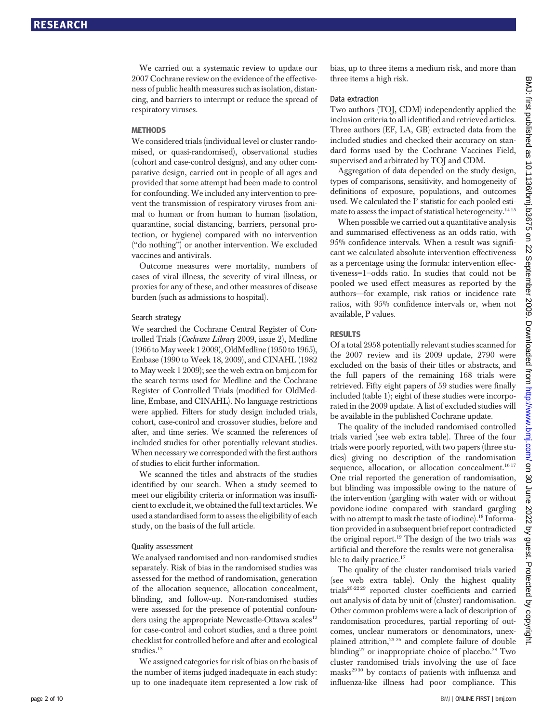We carried out a systematic review to update our 2007 Cochrane review on the evidence of the effectiveness of public health measures such as isolation, distancing, and barriers to interrupt or reduce the spread of respiratory viruses.

#### **METHODS**

We considered trials (individual level or cluster randomised, or quasi-randomised), observational studies (cohort and case-control designs), and any other comparative design, carried out in people of all ages and provided that some attempt had been made to control for confounding. We included any intervention to prevent the transmission of respiratory viruses from animal to human or from human to human (isolation, quarantine, social distancing, barriers, personal protection, or hygiene) compared with no intervention ("do nothing") or another intervention. We excluded vaccines and antivirals.

Outcome measures were mortality, numbers of cases of viral illness, the severity of viral illness, or proxies for any of these, and other measures of disease burden (such as admissions to hospital).

#### Search strategy

We searched the Cochrane Central Register of Controlled Trials (Cochrane Library 2009, issue 2), Medline (1966toMay week 1 2009),OldMedline (1950 to 1965), Embase (1990 to Week 18, 2009), and CINAHL (1982 to May week 1 2009); see the web extra on bmj.com for the search terms used for Medline and the Cochrane Register of Controlled Trials (modified for OldMedline, Embase, and CINAHL). No language restrictions were applied. Filters for study design included trials, cohort, case-control and crossover studies, before and after, and time series. We scanned the references of included studies for other potentially relevant studies. When necessary we corresponded with the first authors of studies to elicit further information.

We scanned the titles and abstracts of the studies identified by our search. When a study seemed to meet our eligibility criteria or information was insufficient to exclude it, we obtained the full text articles.We used a standardised form to assess the eligibility of each study, on the basis of the full article.

#### Quality assessment

We analysed randomised and non-randomised studies separately. Risk of bias in the randomised studies was assessed for the method of randomisation, generation of the allocation sequence, allocation concealment, blinding, and follow-up. Non-randomised studies were assessed for the presence of potential confounders using the appropriate Newcastle-Ottawa scales<sup>12</sup> for case-control and cohort studies, and a three point checklist for controlled before and after and ecological studies.<sup>13</sup>

We assigned categories for risk of bias on the basis of the number of items judged inadequate in each study: up to one inadequate item represented a low risk of bias, up to three items a medium risk, and more than three items a high risk.

#### Data extraction

Two authors (TOJ, CDM) independently applied the inclusion criteria to all identified and retrieved articles. Three authors (EF, LA, GB) extracted data from the included studies and checked their accuracy on standard forms used by the Cochrane Vaccines Field, supervised and arbitrated by TOJ and CDM.

Aggregation of data depended on the study design, types of comparisons, sensitivity, and homogeneity of definitions of exposure, populations, and outcomes used. We calculated the  $I^2$  statistic for each pooled estimate to assess the impact of statistical heterogeneity.<sup>1415</sup>

When possible we carried out a quantitative analysis and summarised effectiveness as an odds ratio, with 95% confidence intervals. When a result was significant we calculated absolute intervention effectiveness as a percentage using the formula: intervention effectiveness=1−odds ratio. In studies that could not be pooled we used effect measures as reported by the authors—for example, risk ratios or incidence rate ratios, with 95% confidence intervals or, when not available, P values.

#### RESULTS

Of a total 2958 potentially relevant studies scanned for the 2007 review and its 2009 update, 2790 were excluded on the basis of their titles or abstracts, and the full papers of the remaining 168 trials were retrieved. Fifty eight papers of 59 studies were finally included (table 1); eight of these studies were incorporated in the 2009 update. A list of excluded studies will be available in the published Cochrane update.

The quality of the included randomised controlled trials varied (see web extra table). Three of the four trials were poorly reported, with two papers (three studies) giving no description of the randomisation sequence, allocation, or allocation concealment.<sup>1617</sup> One trial reported the generation of randomisation, but blinding was impossible owing to the nature of the intervention (gargling with water with or without povidone-iodine compared with standard gargling with no attempt to mask the taste of iodine).<sup>18</sup> Information provided in a subsequent brief report contradicted the original report.<sup>19</sup> The design of the two trials was artificial and therefore the results were not generalisable to daily practice.<sup>17</sup>

The quality of the cluster randomised trials varied (see web extra table). Only the highest quality trials20-22 29 reported cluster coefficients and carried out analysis of data by unit of (cluster) randomisation. Other common problems were a lack of description of randomisation procedures, partial reporting of outcomes, unclear numerators or denominators, unexplained attrition,23-26 and complete failure of double blinding<sup>27</sup> or inappropriate choice of placebo.<sup>28</sup> Two cluster randomised trials involving the use of face masks<sup>2930</sup> by contacts of patients with influenza and influenza-like illness had poor compliance. This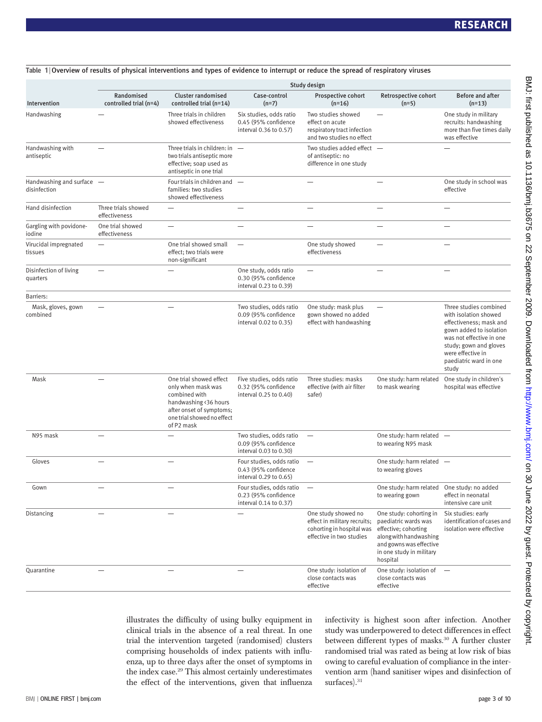|                                             | Study design                           |                                                                                                                                                                 |                                                                            |                                                                                                              |                                                                                                                                                                      |                                                                                                                                                             |
|---------------------------------------------|----------------------------------------|-----------------------------------------------------------------------------------------------------------------------------------------------------------------|----------------------------------------------------------------------------|--------------------------------------------------------------------------------------------------------------|----------------------------------------------------------------------------------------------------------------------------------------------------------------------|-------------------------------------------------------------------------------------------------------------------------------------------------------------|
| Intervention                                | Randomised<br>controlled trial $(n=4)$ | <b>Cluster randomised</b><br>controlled trial (n=14)                                                                                                            | Case-control<br>$(n=7)$                                                    | Prospective cohort<br>$(n=16)$                                                                               | Retrospective cohort<br>$(n=5)$                                                                                                                                      | <b>Before and after</b><br>$(n=13)$                                                                                                                         |
| Handwashing                                 |                                        | Three trials in children<br>showed effectiveness                                                                                                                | Six studies, odds ratio<br>0.45 (95% confidence<br>interval 0.36 to 0.57)  | Two studies showed<br>effect on acute<br>respiratory tract infection<br>and two studies no effect            |                                                                                                                                                                      | One study in military<br>recruits: handwashing<br>more than five times daily<br>was effective                                                               |
| Handwashing with<br>antiseptic              |                                        | Three trials in children: in $-$<br>two trials antiseptic more<br>effective; soap used as<br>antiseptic in one trial                                            |                                                                            | Two studies added effect -<br>of antiseptic: no<br>difference in one study                                   |                                                                                                                                                                      |                                                                                                                                                             |
| Handwashing and surface -<br>disinfection   |                                        | Four trials in children and —<br>families: two studies<br>showed effectiveness                                                                                  |                                                                            |                                                                                                              |                                                                                                                                                                      | One study in school was<br>effective                                                                                                                        |
| Hand disinfection                           | Three trials showed<br>effectiveness   |                                                                                                                                                                 |                                                                            |                                                                                                              |                                                                                                                                                                      |                                                                                                                                                             |
| Gargling with povidone-<br>iodine           | One trial showed<br>effectiveness      |                                                                                                                                                                 |                                                                            |                                                                                                              |                                                                                                                                                                      |                                                                                                                                                             |
| Virucidal impregnated<br>tissues            | $\overline{\phantom{0}}$               | One trial showed small<br>effect; two trials were<br>non-significant                                                                                            | $\overbrace{\phantom{12322111}}$                                           | One study showed<br>effectiveness                                                                            |                                                                                                                                                                      |                                                                                                                                                             |
| Disinfection of living<br>quarters          | $\overline{\phantom{0}}$               |                                                                                                                                                                 | One study, odds ratio<br>0.30 (95% confidence<br>interval 0.23 to 0.39)    | $\equiv$                                                                                                     | $\overline{\phantom{0}}$                                                                                                                                             | $\overline{\phantom{0}}$                                                                                                                                    |
| Barriers:<br>Mask, gloves, gown<br>combined |                                        |                                                                                                                                                                 | Two studies, odds ratio<br>0.09 (95% confidence<br>interval 0.02 to 0.35)  | One study: mask plus<br>gown showed no added<br>effect with handwashing                                      |                                                                                                                                                                      | Three studies combined<br>with isolation showed<br>effectiveness; mask and<br>gown added to isolation<br>was not effective in one<br>study; gown and gloves |
|                                             |                                        |                                                                                                                                                                 |                                                                            |                                                                                                              |                                                                                                                                                                      | were effective in<br>paediatric ward in one<br>study                                                                                                        |
| Mask                                        |                                        | One trial showed effect<br>only when mask was<br>combined with<br>handwashing <36 hours<br>after onset of symptoms;<br>one trial showed no effect<br>of P2 mask | Five studies, odds ratio<br>0.32 (95% confidence<br>interval 0.25 to 0.40) | Three studies: masks<br>effective (with air filter<br>safer)                                                 | One study: harm related<br>to mask wearing                                                                                                                           | One study in children's<br>hospital was effective                                                                                                           |
| N95 mask                                    |                                        |                                                                                                                                                                 | Two studies, odds ratio<br>0.09 (95% confidence<br>interval 0.03 to 0.30)  | $\overline{\phantom{0}}$                                                                                     | One study: harm related -<br>to wearing N95 mask                                                                                                                     |                                                                                                                                                             |
| Gloves                                      |                                        |                                                                                                                                                                 | Four studies, odds ratio<br>0.43 (95% confidence<br>interval 0.29 to 0.65) | $\overline{\phantom{m}}$                                                                                     | One study: harm related -<br>to wearing gloves                                                                                                                       |                                                                                                                                                             |
| Gown                                        |                                        |                                                                                                                                                                 | Four studies, odds ratio<br>0.23 (95% confidence<br>interval 0.14 to 0.37) |                                                                                                              | One study: harm related<br>to wearing gown                                                                                                                           | One study: no added<br>effect in neonatal<br>intensive care unit                                                                                            |
| Distancing                                  |                                        |                                                                                                                                                                 |                                                                            | One study showed no<br>effect in military recruits;<br>cohorting in hospital was<br>effective in two studies | One study: cohorting in<br>paediatric wards was<br>effective; cohorting<br>along with handwashing<br>and gowns was effective<br>in one study in military<br>hospital | Six studies: early<br>identification of cases and<br>isolation were effective                                                                               |
| Quarantine                                  |                                        |                                                                                                                                                                 |                                                                            | One study: isolation of<br>close contacts was<br>effective                                                   | One study: isolation of $-$<br>close contacts was<br>effective                                                                                                       |                                                                                                                                                             |

Table 1 <sup>|</sup> Overview of results of physical interventions and types of evidence to interrupt or reduce the spread of respiratory viruses

illustrates the difficulty of using bulky equipment in clinical trials in the absence of a real threat. In one trial the intervention targeted (randomised) clusters comprising households of index patients with influenza, up to three days after the onset of symptoms in the index case.29 This almost certainly underestimates the effect of the interventions, given that influenza infectivity is highest soon after infection. Another study was underpowered to detect differences in effect between different types of masks.<sup>30</sup> A further cluster randomised trial was rated as being at low risk of bias owing to careful evaluation of compliance in the intervention arm (hand sanitiser wipes and disinfection of surfaces).<sup>31</sup>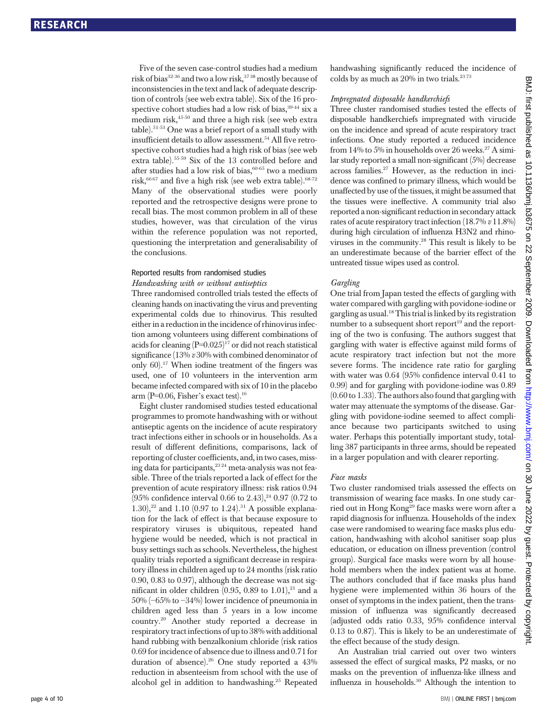Five of the seven case-control studies had a medium risk of bias $32-36$  and two a low risk,  $3738$  mostly because of inconsistencies in the text and lack of adequate description of controls (see web extra table). Six of the 16 prospective cohort studies had a low risk of bias, 39-44 six a medium risk,45-50 and three a high risk (see web extra table).51-53 One was a brief report of a small study with insufficient details to allow assessment.<sup>54</sup> All five retrospective cohort studies had a high risk of bias (see web extra table).55-59 Six of the 13 controlled before and after studies had a low risk of bias,  $60-65$  two a medium risk, $6667$  and five a high risk (see web extra table).  $68-72$ Many of the observational studies were poorly reported and the retrospective designs were prone to recall bias. The most common problem in all of these studies, however, was that circulation of the virus within the reference population was not reported, questioning the interpretation and generalisability of the conclusions.

#### Reported results from randomised studies

#### Handwashing with or without antiseptics

Three randomised controlled trials tested the effects of cleaning hands on inactivating the virus and preventing experimental colds due to rhinovirus. This resulted either in a reduction in the incidence of rhinovirus infection among volunteers using different combinations of acids for cleaning  $(P=0.025)^{17}$  or did not reach statistical significance (13% v 30% with combined denominator of only 60).17 When iodine treatment of the fingers was used, one of 10 volunteers in the intervention arm became infected compared with six of 10 in the placebo arm ( $P=0.06$ , Fisher's exact test).<sup>16</sup>

Eight cluster randomised studies tested educational programmes to promote handwashing with or without antiseptic agents on the incidence of acute respiratory tract infections either in schools or in households. As a result of different definitions, comparisons, lack of reporting of cluster coefficients, and, in two cases, missing data for participants,<sup>2324</sup> meta-analysis was not feasible. Three of the trials reported a lack of effect for the prevention of acute respiratory illness: risk ratios 0.94  $(95\% \text{ confidence interval } 0.66 \text{ to } 2.43)$ ,<sup>24</sup> 0.97 (0.72 to 1.30),<sup>22</sup> and 1.10 (0.97 to 1.24).<sup>31</sup> A possible explanation for the lack of effect is that because exposure to respiratory viruses is ubiquitous, repeated hand hygiene would be needed, which is not practical in busy settings such as schools. Nevertheless, the highest quality trials reported a significant decrease in respiratory illness in children aged up to 24 months (risk ratio 0.90, 0.83 to 0.97), although the decrease was not significant in older children  $(0.95, 0.89$  to  $1.01)$ ,<sup>21</sup> and a 50% (−65% to −34%) lower incidence of pneumonia in children aged less than 5 years in a low income country.20 Another study reported a decrease in respiratory tract infections of up to 38% with additional hand rubbing with benzalkonium chloride (risk ratios 0.69 for incidence of absence due to illness and 0.71 for duration of absence).26 One study reported a 43% reduction in absenteeism from school with the use of alcohol gel in addition to handwashing.25 Repeated handwashing significantly reduced the incidence of colds by as much as  $20\%$  in two trials.<sup>2373</sup>

#### Impregnated disposable handkerchiefs

Three cluster randomised studies tested the effects of disposable handkerchiefs impregnated with virucide on the incidence and spread of acute respiratory tract infections. One study reported a reduced incidence from  $14\%$  to  $5\%$  in households over 26 weeks.<sup>27</sup> A similar study reported a small non-significant (5%) decrease across families.27 However, as the reduction in incidence was confined to primary illness, which would be unaffected by use of the tissues, it might be assumed that the tissues were ineffective. A community trial also reported a non-significant reduction in secondary attack rates of acute respiratory tract infection (18.7%  $v$  11.8%) during high circulation of influenza H3N2 and rhinoviruses in the community.28 This result is likely to be an underestimate because of the barrier effect of the untreated tissue wipes used as control.

#### Gargling

One trial from Japan tested the effects of gargling with water compared with gargling with povidone-iodine or gargling as usual.18This trial is linked by its registration number to a subsequent short report $19$  and the reporting of the two is confusing. The authors suggest that gargling with water is effective against mild forms of acute respiratory tract infection but not the more severe forms. The incidence rate ratio for gargling with water was 0.64 (95% confidence interval 0.41 to 0.99) and for gargling with povidone-iodine was 0.89 (0.60 to 1.33). The authors also found that gargling with water may attenuate the symptoms of the disease. Gargling with povidone-iodine seemed to affect compliance because two participants switched to using water. Perhaps this potentially important study, totalling 387 participants in three arms, should be repeated in a larger population and with clearer reporting.

#### Face masks

Two cluster randomised trials assessed the effects on transmission of wearing face masks. In one study carried out in Hong Kong<sup>29</sup> face masks were worn after a rapid diagnosis for influenza. Households of the index case were randomised to wearing face masks plus education, handwashing with alcohol sanitiser soap plus education, or education on illness prevention (control group). Surgical face masks were worn by all household members when the index patient was at home. The authors concluded that if face masks plus hand hygiene were implemented within 36 hours of the onset of symptoms in the index patient, then the transmission of influenza was significantly decreased (adjusted odds ratio 0.33, 95% confidence interval 0.13 to 0.87). This is likely to be an underestimate of the effect because of the study design.

An Australian trial carried out over two winters assessed the effect of surgical masks, P2 masks, or no masks on the prevention of influenza-like illness and influenza in households.<sup>30</sup> Although the intention to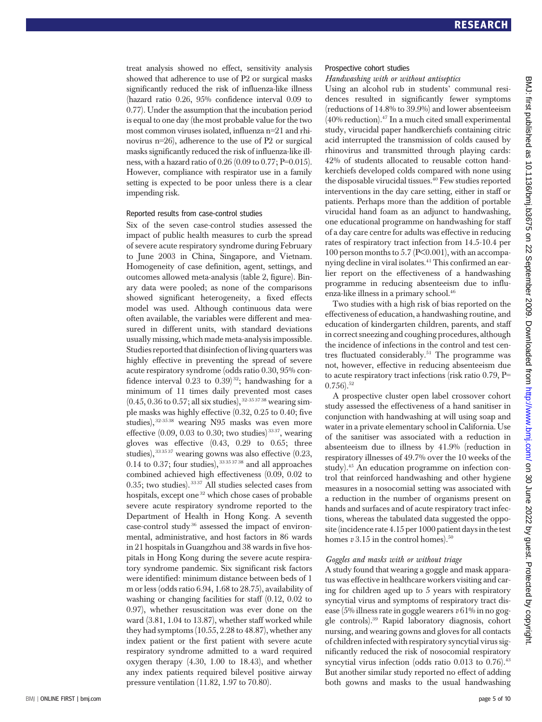treat analysis showed no effect, sensitivity analysis showed that adherence to use of P2 or surgical masks significantly reduced the risk of influenza-like illness (hazard ratio 0.26, 95% confidence interval 0.09 to 0.77). Under the assumption that the incubation period is equal to one day (the most probable value for the two most common viruses isolated, influenza n=21 and rhinovirus n=26), adherence to the use of P2 or surgical masks significantly reduced the risk of influenza-like illness, with a hazard ratio of 0.26 (0.09 to 0.77; P=0.015). However, compliance with respirator use in a family setting is expected to be poor unless there is a clear impending risk.

#### Reported results from case-control studies

Six of the seven case-control studies assessed the impact of public health measures to curb the spread of severe acute respiratory syndrome during February to June 2003 in China, Singapore, and Vietnam. Homogeneity of case definition, agent, settings, and outcomes allowed meta-analysis (table 2, figure). Binary data were pooled; as none of the comparisons showed significant heterogeneity, a fixed effects model was used. Although continuous data were often available, the variables were different and measured in different units, with standard deviations usually missing, which made meta-analysis impossible. Studies reported that disinfection of living quarters was highly effective in preventing the spread of severe acute respiratory syndrome (odds ratio 0.30, 95% confidence interval  $0.23$  to  $0.39$ <sup>32</sup>; handwashing for a minimum of 11 times daily prevented most cases  $(0.45, 0.36 \text{ to } 0.57; \text{ all six studies})$ ,  $32-35\cdot37\cdot38$  wearing simple masks was highly effective (0.32, 0.25 to 0.40; five studies), 32-35 38 wearing N95 masks was even more effective  $(0.09, 0.03$  to 0.30; two studies)<sup>3337</sup>, wearing gloves was effective (0.43, 0.29 to 0.65; three studies), 333537 wearing gowns was also effective (0.23, 0.14 to 0.37; four studies),  $33353738$  and all approaches combined achieved high effectiveness (0.09, 0.02 to 0.35; two studies). 33 37 All studies selected cases from hospitals, except one<sup>32</sup> which chose cases of probable severe acute respiratory syndrome reported to the Department of Health in Hong Kong. A seventh case-control study $36$  assessed the impact of environmental, administrative, and host factors in 86 wards in 21 hospitals in Guangzhou and 38 wards in five hospitals in Hong Kong during the severe acute respiratory syndrome pandemic. Six significant risk factors were identified: minimum distance between beds of 1 m or less (odds ratio 6.94, 1.68 to 28.75), availability of washing or changing facilities for staff (0.12, 0.02 to 0.97), whether resuscitation was ever done on the ward (3.81, 1.04 to 13.87), whether staff worked while they had symptoms (10.55, 2.28 to 48.87), whether any index patient or the first patient with severe acute respiratory syndrome admitted to a ward required oxygen therapy (4.30, 1.00 to 18.43), and whether any index patients required bilevel positive airway pressure ventilation (11.82, 1.97 to 70.80).

#### Prospective cohort studies

#### Handwashing with or without antiseptics

Using an alcohol rub in students' communal residences resulted in significantly fewer symptoms (reductions of 14.8% to 39.9%) and lower absenteeism  $(40\% \text{ reduction})$ .<sup>47</sup> In a much cited small experimental study, virucidal paper handkerchiefs containing citric acid interrupted the transmission of colds caused by rhinovirus and transmitted through playing cards: 42% of students allocated to reusable cotton handkerchiefs developed colds compared with none using the disposable virucidal tissues.<sup>40</sup> Few studies reported interventions in the day care setting, either in staff or patients. Perhaps more than the addition of portable virucidal hand foam as an adjunct to handwashing, one educational programme on handwashing for staff of a day care centre for adults was effective in reducing rates of respiratory tract infection from 14.5-10.4 per 100 person months to 5.7 ( $P\leq 0.001$ ), with an accompanying decline in viral isolates.<sup>41</sup> This confirmed an earlier report on the effectiveness of a handwashing programme in reducing absenteeism due to influenza-like illness in a primary school.<sup>46</sup>

Two studies with a high risk of bias reported on the effectiveness of education, a handwashing routine, and education of kindergarten children, parents, and staff in correct sneezing and coughing procedures, although the incidence of infections in the control and test centres fluctuated considerably.<sup>51</sup> The programme was not, however, effective in reducing absenteeism due to acute respiratory tract infections (risk ratio 0.79, P=  $(0.756)$ <sup>52</sup>

A prospective cluster open label crossover cohort study assessed the effectiveness of a hand sanitiser in conjunction with handwashing at will using soap and water in a private elementary school in California. Use of the sanitiser was associated with a reduction in absenteeism due to illness by 41.9% (reduction in respiratory illnesses of 49.7% over the 10 weeks of the study).45 An education programme on infection control that reinforced handwashing and other hygiene measures in a nosocomial setting was associated with a reduction in the number of organisms present on hands and surfaces and of acute respiratory tract infections, whereas the tabulated data suggested the opposite (incidence rate 4.15 per 1000 patient days in the test homes  $v$  3.15 in the control homes).<sup>50</sup>

#### Goggles and masks with or without triage

A study found that wearing a goggle and mask apparatus was effective in healthcare workers visiting and caring for children aged up to 5 years with respiratory syncytial virus and symptoms of respiratory tract disease (5% illness rate in goggle wearers  $v$  61% in no goggle controls).39 Rapid laboratory diagnosis, cohort nursing, and wearing gowns and gloves for all contacts of children infected with respiratory syncytial virus significantly reduced the risk of nosocomial respiratory syncytial virus infection (odds ratio  $0.013$  to  $0.76$ ).<sup>43</sup> But another similar study reported no effect of adding both gowns and masks to the usual handwashing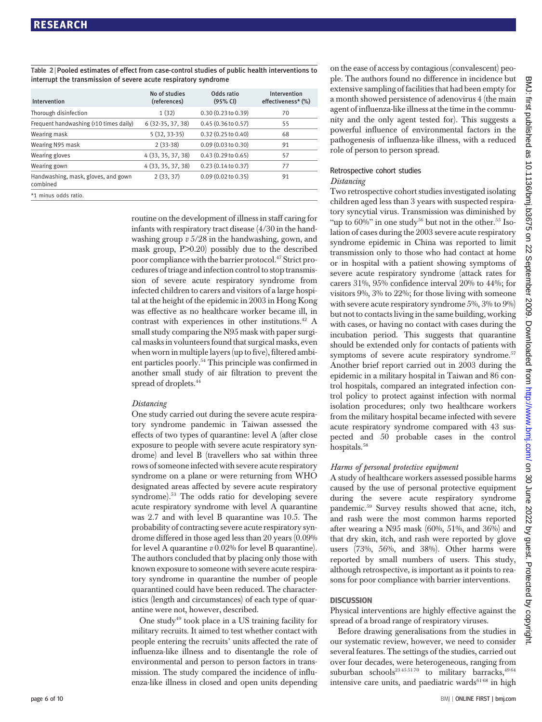Table 2 <sup>|</sup> Pooled estimates of effect from case-control studies of public health interventions to interrupt the transmission of severe acute respiratory syndrome

| Intervention                                    | No of studies<br>(references) | Odds ratio<br>(95% CI)        | Intervention<br>effectiveness* (%) |
|-------------------------------------------------|-------------------------------|-------------------------------|------------------------------------|
| Thorough disinfection                           | 1(32)                         | 0.30(0.23 to 0.39)            | 70                                 |
| Frequent handwashing (>10 times daily)          | $6(32-35, 37, 38)$            | 0.45(0.36 to 0.57)            | 55                                 |
| Wearing mask                                    | $5(32, 33-35)$                | $0.32(0.25 \text{ to } 0.40)$ | 68                                 |
| Wearing N95 mask                                | $2(33-38)$                    | 0.09(0.03 to 0.30)            | 91                                 |
| Wearing gloves                                  | 4 (33, 35, 37, 38)            | 0.43(0.29 to 0.65)            | 57                                 |
| Wearing gown                                    | 4 (33, 35, 37, 38)            | 0.23(0.14 to 0.37)            | 77                                 |
| Handwashing, mask, gloves, and gown<br>combined | 2(33, 37)                     | 0.09(0.02 to 0.35)            | 91                                 |
| *1 minus odds ratio.                            |                               |                               |                                    |

routine on the development of illness in staff caring for infants with respiratory tract disease (4/30 in the handwashing group v 5/28 in the handwashing, gown, and mask group, P>0.20) possibly due to the described poor compliance with the barrier protocol.<sup>47</sup> Strict procedures of triage and infection control to stop transmission of severe acute respiratory syndrome from infected children to carers and visitors of a large hospital at the height of the epidemic in 2003 in Hong Kong was effective as no healthcare worker became ill, in contrast with experiences in other institutions.42 A small study comparing the N95 mask with paper surgical masks in volunteers found that surgical masks, even when worn in multiple layers (up to five), filtered ambient particles poorly.54 This principle was confirmed in another small study of air filtration to prevent the spread of droplets.<sup>44</sup>

#### Distancing

One study carried out during the severe acute respiratory syndrome pandemic in Taiwan assessed the effects of two types of quarantine: level A (after close exposure to people with severe acute respiratory syndrome) and level B (travellers who sat within three rows of someone infected with severe acute respiratory syndrome on a plane or were returning from WHO designated areas affected by severe acute respiratory syndrome).53 The odds ratio for developing severe acute respiratory syndrome with level A quarantine was 2.7 and with level B quarantine was 10.5. The probability of contracting severe acute respiratory syndrome differed in those aged less than 20 years (0.09% for level A quarantine  $v$  0.02% for level B quarantine). The authors concluded that by placing only those with known exposure to someone with severe acute respiratory syndrome in quarantine the number of people quarantined could have been reduced. The characteristics (length and circumstances) of each type of quarantine were not, however, described.

One study<sup>49</sup> took place in a US training facility for military recruits. It aimed to test whether contact with people entering the recruits' units affected the rate of influenza-like illness and to disentangle the role of environmental and person to person factors in transmission. The study compared the incidence of influenza-like illness in closed and open units depending on the ease of access by contagious (convalescent) people. The authors found no difference in incidence but extensive sampling of facilities that had been empty for a month showed persistence of adenovirus 4 (the main agent of influenza-like illness at the time in the community and the only agent tested for). This suggests a powerful influence of environmental factors in the pathogenesis of influenza-like illness, with a reduced role of person to person spread.

#### Retrospective cohort studies

#### Distancing

Two retrospective cohort studies investigated isolating children aged less than 3 years with suspected respiratory syncytial virus. Transmission was diminished by "up to  $60\%$ " in one study<sup>56</sup> but not in the other.<sup>55</sup> Isolation of cases during the 2003 severe acute respiratory syndrome epidemic in China was reported to limit transmission only to those who had contact at home or in hospital with a patient showing symptoms of severe acute respiratory syndrome (attack rates for carers 31%, 95% confidence interval 20% to 44%; for visitors 9%, 3% to 22%; for those living with someone with severe acute respiratory syndrome 5%, 3% to 9%) but not to contacts living in the same building, working with cases, or having no contact with cases during the incubation period. This suggests that quarantine should be extended only for contacts of patients with symptoms of severe acute respiratory syndrome.<sup>57</sup> Another brief report carried out in 2003 during the epidemic in a military hospital in Taiwan and 86 control hospitals, compared an integrated infection control policy to protect against infection with normal isolation procedures; only two healthcare workers from the military hospital became infected with severe acute respiratory syndrome compared with 43 suspected and 50 probable cases in the control hospitals.<sup>58</sup>

#### Harms of personal protective equipment

A study of healthcare workers assessed possible harms caused by the use of personal protective equipment during the severe acute respiratory syndrome pandemic.59 Survey results showed that acne, itch, and rash were the most common harms reported after wearing a N95 mask (60%, 51%, and 36%) and that dry skin, itch, and rash were reported by glove users (73%, 56%, and 38%). Other harms were reported by small numbers of users. This study, although retrospective, is important as it points to reasons for poor compliance with barrier interventions.

#### **DISCUSSION**

Physical interventions are highly effective against the spread of a broad range of respiratory viruses.

Before drawing generalisations from the studies in our systematic review, however, we need to consider several features. The settings of the studies, carried out over four decades, were heterogeneous, ranging from suburban schools<sup>23455170</sup> to military barracks,<sup>4964</sup> intensive care units, and paediatric wards<sup>6168</sup> in high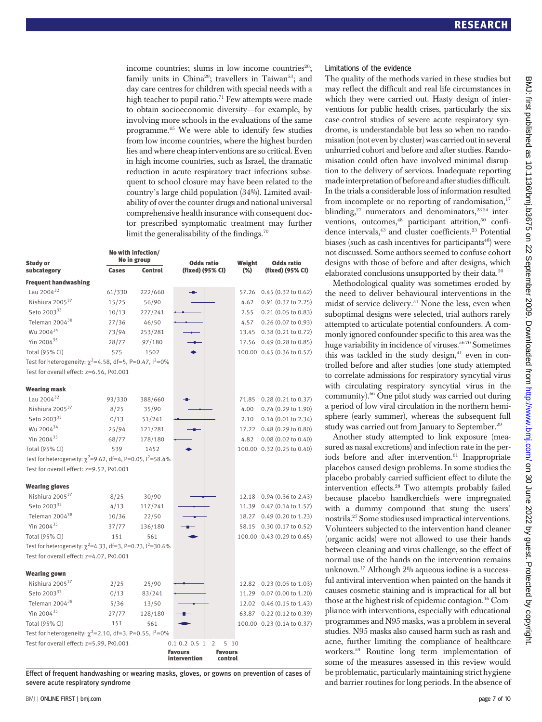income countries; slums in low income countries<sup>20</sup>; family units in China<sup>29</sup>; travellers in Taiwan<sup>53</sup>; and day care centres for children with special needs with a high teacher to pupil ratio.<sup>71</sup> Few attempts were made to obtain socioeconomic diversity—for example, by involving more schools in the evaluations of the same programme.45 We were able to identify few studies from low income countries, where the highest burden lies and where cheap interventions are so critical. Even in high income countries, such as Israel, the dramatic reduction in acute respiratory tract infections subsequent to school closure may have been related to the country's large child population (34%). Limited availability of over the counter drugs and national universal comprehensive health insurance with consequent doctor prescribed symptomatic treatment may further limit the generalisability of the findings.<sup>70</sup>

| <b>Study or</b>                                                                                                         |              | No with infection/<br>No in group | <b>Odds ratio</b>               | Weight                    | <b>Odds ratio</b>                                           |
|-------------------------------------------------------------------------------------------------------------------------|--------------|-----------------------------------|---------------------------------|---------------------------|-------------------------------------------------------------|
| subcategory                                                                                                             | Cases        | <b>Control</b>                    | (fixed) (95% CI)                | (%)                       | (fixed) (95% CI)                                            |
| <b>Frequent handwashing</b>                                                                                             |              |                                   |                                 |                           |                                                             |
| Lau 2004 $32$                                                                                                           | 61/330       | 222/660                           |                                 |                           | 57.26 0.45 (0.32 to 0.62)                                   |
| Nishiura 2005 <sup>37</sup>                                                                                             | 15/25        | 56/90                             |                                 | 4.62                      | $0.91$ $(0.37$ to $2.25)$                                   |
| Seto 200333                                                                                                             | 10/13        | 227/241                           |                                 | 2.55                      | $0.21$ (0.05 to 0.83)                                       |
| Teleman 2004 <sup>38</sup>                                                                                              | 27/36        | 46/50                             |                                 | 4.57                      | $0.26$ (0.07 to 0.93)                                       |
| Wu 2004 <sup>34</sup>                                                                                                   | 73/94        | 253/281                           |                                 |                           | 13.45 0.38 (0.21 to 0.72)                                   |
| Yin 2004 <sup>35</sup>                                                                                                  | 28/77        | 97/180                            |                                 |                           | 17.56 0.49 (0.28 to 0.85)                                   |
| Total (95% CI)                                                                                                          | 575          | 1502                              |                                 |                           | 100.00 0.45 (0.36 to 0.57)                                  |
| Test for heterogeneity: $\chi^2$ =4.58, df=5, P=0.47, $1^2$ =0%                                                         |              |                                   |                                 |                           |                                                             |
| Test for overall effect: z=6.56, P<0.001                                                                                |              |                                   |                                 |                           |                                                             |
| <b>Wearing mask</b>                                                                                                     |              |                                   |                                 |                           |                                                             |
| Lau 2004 <sup>32</sup>                                                                                                  | 93/330       | 388/660                           |                                 | 71.85                     | $0.28(0.21 \text{ to } 0.37)$                               |
| Nishiura 2005 <sup>37</sup>                                                                                             | 8/25         | 35/90                             |                                 | 4.00                      | 0.74 (0.29 to 1.90)                                         |
| Seto 200333                                                                                                             | 0/13         | 51/241                            |                                 | 2.10                      | $0.14$ (0.01 to 2.34)                                       |
| Wu 2004 <sup>34</sup>                                                                                                   | 25/94        | 121/281                           |                                 |                           | 17.22 0.48 (0.29 to 0.80)                                   |
| Yin 2004 $35$                                                                                                           |              |                                   |                                 |                           |                                                             |
| Total (95% CI)                                                                                                          | 68/77<br>539 | 178/180<br>1452                   |                                 | 4.82                      | $0.08(0.02 \text{ to } 0.40)$<br>100.00 0.32 (0.25 to 0.40) |
|                                                                                                                         |              |                                   |                                 |                           |                                                             |
| Test for heterogeneity: $\chi^2$ =9.62, df=4, P=0.05, l <sup>2</sup> =58.4%<br>Test for overall effect: z=9.52, P<0.001 |              |                                   |                                 |                           |                                                             |
|                                                                                                                         |              |                                   |                                 |                           |                                                             |
| <b>Wearing gloves</b><br>Nishiura 2005 <sup>37</sup>                                                                    |              |                                   |                                 |                           |                                                             |
| Seto 200333                                                                                                             | 8/25         | 30/90                             |                                 |                           | 12.18 0.94 (0.36 to 2.43)                                   |
| Teleman 2004 <sup>38</sup>                                                                                              | 4/13         | 117/241                           |                                 |                           | 11.39 0.47 (0.14 to 1.57)                                   |
| Yin 2004 $35$                                                                                                           | 10/36        | 22/50                             |                                 |                           | 18.27 0.49 (0.20 to 1.23)                                   |
|                                                                                                                         | 37/77        | 136/180                           |                                 |                           | 58.15 0.30 (0.17 to 0.52)                                   |
| Total (95% CI)                                                                                                          | 151          | 561                               |                                 |                           | 100.00 0.43 (0.29 to 0.65)                                  |
| Test for heterogeneity: $\chi^2$ =4.33, df=3, P=0.23, $1^2$ =30.6%                                                      |              |                                   |                                 |                           |                                                             |
| Test for overall effect: z=4.07, P<0.001                                                                                |              |                                   |                                 |                           |                                                             |
| <b>Wearing gown</b>                                                                                                     |              |                                   |                                 |                           |                                                             |
| Nishiura 2005 <sup>37</sup>                                                                                             | 2/25         | 25/90                             |                                 |                           | 12.82 0.23 (0.05 to 1.03)                                   |
| Seto 200333                                                                                                             | 0/13         | 83/241                            |                                 | 11.29                     | 0.07 (0.00 to 1.20)                                         |
| Teleman 2004 <sup>38</sup>                                                                                              | 5/36         | 13/50                             |                                 |                           | 12.02 0.46 (0.15 to 1.43)                                   |
| Yin 2004 $35$                                                                                                           | 27/77        | 128/180                           |                                 | 63.87                     | $0.22$ $(0.12$ to $0.39)$                                   |
| Total (95% CI)                                                                                                          | 151          | 561                               |                                 |                           | 100.00 0.23 (0.14 to 0.37)                                  |
| Test for heterogeneity: $\chi^2$ =2.10, df=3, P=0.55, l <sup>2</sup> =0%                                                |              |                                   |                                 |                           |                                                             |
| Test for overall effect: z=5.99, P<0.001                                                                                |              |                                   | 0.1 0.2 0.5 1<br>$\overline{2}$ | 5 10                      |                                                             |
|                                                                                                                         |              |                                   | <b>Favours</b><br>intervention  | <b>Favours</b><br>control |                                                             |

Effect of frequent handwashing or wearing masks, gloves, or gowns on prevention of cases of severe acute respiratory syndrome

#### Limitations of the evidence

The quality of the methods varied in these studies but may reflect the difficult and real life circumstances in which they were carried out. Hasty design of interventions for public health crises, particularly the six case-control studies of severe acute respiratory syndrome, is understandable but less so when no randomisation (not even by cluster) was carried out in several unhurried cohort and before and after studies. Randomisation could often have involved minimal disruption to the delivery of services. Inadequate reporting made interpretation of before and after studies difficult. In the trials a considerable loss of information resulted from incomplete or no reporting of randomisation,<sup>17</sup> blinding, $27$  numerators and denominators, $2324$  interventions, outcomes,<sup>48</sup> participant attrition,<sup>50</sup> confidence intervals,<sup>43</sup> and cluster coefficients.<sup>23</sup> Potential biases (such as cash incentives for participants $48$ ) were not discussed. Some authors seemed to confuse cohort designs with those of before and after designs, which elaborated conclusions unsupported by their data.<sup>50</sup>

Methodological quality was sometimes eroded by the need to deliver behavioural interventions in the midst of service delivery.<sup>51</sup> None the less, even when suboptimal designs were selected, trial authors rarely attempted to articulate potential confounders. A commonly ignored confounder specific to this area was the huge variability in incidence of viruses.<sup>5670</sup> Sometimes this was tackled in the study design, $41$  even in controlled before and after studies (one study attempted to correlate admissions for respiratory syncytial virus with circulating respiratory syncytial virus in the community).66 One pilot study was carried out during a period of low viral circulation in the northern hemisphere (early summer), whereas the subsequent full study was carried out from January to September.<sup>29</sup>

Another study attempted to link exposure (measured as nasal excretions) and infection rate in the periods before and after intervention.<sup>61</sup> Inappropriate placebos caused design problems. In some studies the placebo probably carried sufficient effect to dilute the intervention effects.28 Two attempts probably failed because placebo handkerchiefs were impregnated with a dummy compound that stung the users' nostrils.27 Some studies used impractical interventions. Volunteers subjected to the intervention hand cleaner (organic acids) were not allowed to use their hands between cleaning and virus challenge, so the effect of normal use of the hands on the intervention remains unknown.17 Although 2% aqueous iodine is a successful antiviral intervention when painted on the hands it causes cosmetic staining and is impractical for all but those at the highest risk of epidemic contagion.16 Compliance with interventions, especially with educational programmes and N95 masks, was a problem in several studies. N95 masks also caused harm such as rash and acne, further limiting the compliance of healthcare workers.59 Routine long term implementation of some of the measures assessed in this review would be problematic, particularly maintaining strict hygiene and barrier routines for long periods. In the absence of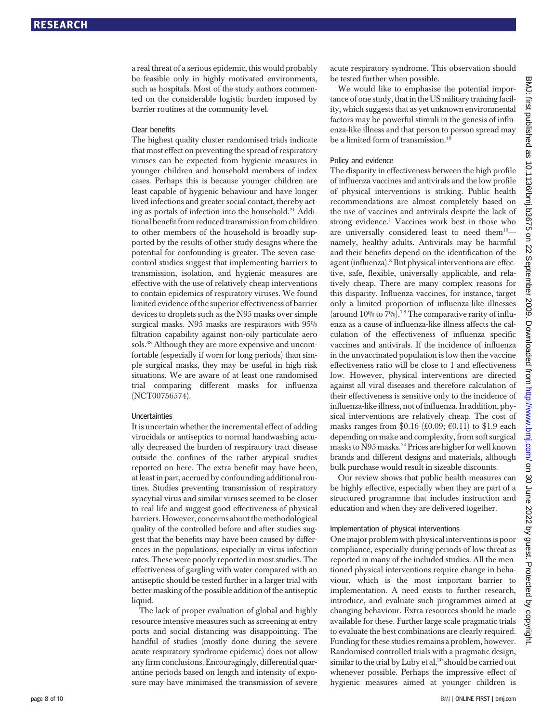a real threat of a serious epidemic, this would probably be feasible only in highly motivated environments, such as hospitals. Most of the study authors commented on the considerable logistic burden imposed by barrier routines at the community level.

#### Clear benefits

The highest quality cluster randomised trials indicate that most effect on preventing the spread of respiratory viruses can be expected from hygienic measures in younger children and household members of index cases. Perhaps this is because younger children are least capable of hygienic behaviour and have longer lived infections and greater social contact, thereby acting as portals of infection into the household.21 Additional benefit from reduced transmission from children to other members of the household is broadly supported by the results of other study designs where the potential for confounding is greater. The seven casecontrol studies suggest that implementing barriers to transmission, isolation, and hygienic measures are effective with the use of relatively cheap interventions to contain epidemics of respiratory viruses. We found limited evidence of the superior effectiveness of barrier devices to droplets such as the N95 masks over simple surgical masks. N95 masks are respirators with 95% filtration capability against non-oily particulate aero sols.38 Although they are more expensive and uncomfortable (especially if worn for long periods) than simple surgical masks, they may be useful in high risk situations. We are aware of at least one randomised trial comparing different masks for influenza (NCT00756574).

#### Uncertainties

It is uncertain whether the incremental effect of adding virucidals or antiseptics to normal handwashing actually decreased the burden of respiratory tract disease outside the confines of the rather atypical studies reported on here. The extra benefit may have been, at least in part, accrued by confounding additional routines. Studies preventing transmission of respiratory syncytial virus and similar viruses seemed to be closer to real life and suggest good effectiveness of physical barriers. However, concerns about the methodological quality of the controlled before and after studies suggest that the benefits may have been caused by differences in the populations, especially in virus infection rates. These were poorly reported in most studies. The effectiveness of gargling with water compared with an antiseptic should be tested further in a larger trial with better masking of the possible addition of the antiseptic liquid.

The lack of proper evaluation of global and highly resource intensive measures such as screening at entry ports and social distancing was disappointing. The handful of studies (mostly done during the severe acute respiratory syndrome epidemic) does not allow any firm conclusions. Encouragingly, differential quarantine periods based on length and intensity of exposure may have minimised the transmission of severe

acute respiratory syndrome. This observation should be tested further when possible.

We would like to emphasise the potential importance of one study, that in the US military training facility, which suggests that as yet unknown environmental factors may be powerful stimuli in the genesis of influenza-like illness and that person to person spread may be a limited form of transmission.<sup>49</sup>

#### Policy and evidence

The disparity in effectiveness between the high profile of influenza vaccines and antivirals and the low profile of physical interventions is striking. Public health recommendations are almost completely based on the use of vaccines and antivirals despite the lack of strong evidence.<sup>1</sup> Vaccines work best in those who are universally considered least to need them<sup>10</sup>namely, healthy adults. Antivirals may be harmful and their benefits depend on the identification of the agent (influenza).<sup>8</sup> But physical interventions are effective, safe, flexible, universally applicable, and relatively cheap. There are many complex reasons for this disparity. Influenza vaccines, for instance, target only a limited proportion of influenza-like illnesses (around  $10\%$  to  $7\%$ ).<sup>78</sup> The comparative rarity of influenza as a cause of influenza-like illness affects the calculation of the effectiveness of influenza specific vaccines and antivirals. If the incidence of influenza in the unvaccinated population is low then the vaccine effectiveness ratio will be close to 1 and effectiveness low. However, physical interventions are directed against all viral diseases and therefore calculation of their effectiveness is sensitive only to the incidence of influenza-like illness, not of influenza. In addition, physical interventions are relatively cheap. The cost of masks ranges from \$0.16 (£0.09;  $\epsilon$ 0.11) to \$1.9 each depending on make and complexity, from soft surgical masks to N95 masks.74 Prices are higher for well known brands and different designs and materials, although bulk purchase would result in sizeable discounts.

Our review shows that public health measures can be highly effective, especially when they are part of a structured programme that includes instruction and education and when they are delivered together.

#### Implementation of physical interventions

One major problem with physical interventions is poor compliance, especially during periods of low threat as reported in many of the included studies. All the mentioned physical interventions require change in behaviour, which is the most important barrier to implementation. A need exists to further research, introduce, and evaluate such programmes aimed at changing behaviour. Extra resources should be made available for these. Further large scale pragmatic trials to evaluate the best combinations are clearly required. Funding for these studies remains a problem, however. Randomised controlled trials with a pragmatic design, similar to the trial by Luby et al,  $20$  should be carried out whenever possible. Perhaps the impressive effect of hygienic measures aimed at younger children is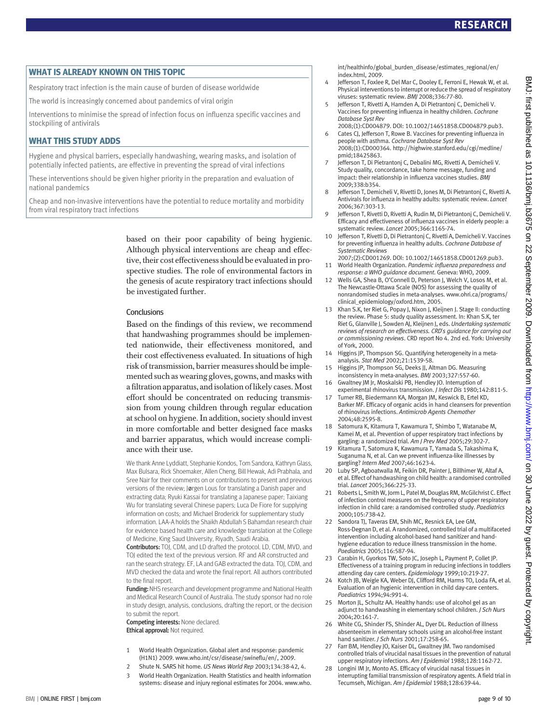#### WHAT IS ALREADY KNOWN ON THIS TOPIC

Respiratory tract infection is the main cause of burden of disease worldwide

The world is increasingly concerned about pandemics of viral origin

Interventions to minimise the spread of infection focus on influenza specific vaccines and stockpiling of antivirals

#### WHAT THIS STUDY ADDS

Hygiene and physical barriers, especially handwashing, wearing masks, and isolation of potentially infected patients, are effective in preventing the spread of viral infections

These interventions should be given higher priority in the preparation and evaluation of national pandemics

Cheap and non-invasive interventions have the potential to reduce mortality and morbidity from viral respiratory tract infections

> based on their poor capability of being hygienic. Although physical interventions are cheap and effective, their cost effectiveness should be evaluated in prospective studies. The role of environmental factors in the genesis of acute respiratory tract infections should be investigated further.

#### Conclusions

Based on the findings of this review, we recommend that handwashing programmes should be implemented nationwide, their effectiveness monitored, and their cost effectiveness evaluated. In situations of high risk of transmission, barrier measures should be implemented such as wearing gloves, gowns, and masks with a filtration apparatus, and isolation of likely cases.Most effort should be concentrated on reducing transmission from young children through regular education at school on hygiene. In addition, society should invest in more comfortable and better designed face masks and barrier apparatus, which would increase compliance with their use.

We thank Anne Lyddiatt, Stephanie Kondos, Tom Sandora, Kathryn Glass, Max Bulsara, Rick Shoemaker, Allen Cheng, Bill Hewak, Adi Prabhala, and Sree Nair for their comments on or contributions to present and previous versions of the review; Jørgen Lous for translating a Danish paper and extracting data; Ryuki Kassai for translating a Japanese paper; Taixiang Wu for translating several Chinese papers; Luca De Fiore for supplying information on costs; and Michael Broderick for supplementary study information. LAA-A holds the Shaikh Abdullah S Bahamdan research chair for evidence based health care and knowledge translation at the College of Medicine, King Saud University, Riyadh, Saudi Arabia.

Contributors: TOJ, CDM, and LD drafted the protocol. LD, CDM, MVD, and TOJ edited the text of the previous version. RF and AR constructed and ran the search strategy. EF, LA and GAB extracted the data. TOJ, CDM, and MVD checked the data and wrote the final report. All authors contributed to the final report.

Funding: NHS research and development programme and National Health and Medical Research Council of Australia. The study sponsor had no role in study design, analysis, conclusions, drafting the report, or the decision to submit the report.

Competing interests: None declared. Ethical approval: Not required.

- 1 World Health Organization. Global alert and response: pandemic (H1N1) 2009. www.who.int/csr/disease/swineflu/en/, 2009.
- 2 Shute N. SARS hit home. US News World Rep 2003;134:38-42, 4.
- 3 World Health Organization. Health Statistics and health information systems: disease and injury regional estimates for 2004. www.who.

int/healthinfo/global\_burden\_disease/estimates\_regional/en/ index.html, 2009.

- 4 Jefferson T, Foxlee R, Del Mar C, Dooley E, Ferroni E, Hewak W, et al. Physical interventions to interrupt or reduce the spread of respiratory viruses: systematic review. BMJ 2008;336:77-80.
- 5 Jefferson T, Rivetti A, Harnden A, Di Pietrantonj C, Demicheli V. Vaccines for preventing influenza in healthy children. Cochrane Database Syst Rev
- 2008;(1):CD004879. DOI: 10.1002/14651858.CD004879.pub3. 6 Cates CJ, Jefferson T, Rowe B. Vaccines for preventing influenza in people with asthma. Cochrane Database Syst Rev
- 2008;(1):CD000364. http://highwire.stanford.edu/cgi/medline/ pmid;18425863. 7 Jefferson T, Di Pietrantonj C, Debalini MG, Rivetti A, Demicheli V.
- Study quality, concordance, take home message, funding and impact: their relationship in influenza vaccines studies. BMJ 2009;338:b354.
- 8 Jefferson T, Demicheli V, Rivetti D, Jones M, Di Pietrantonj C, Rivetti A. Antivirals for influenza in healthy adults: systematic review. Lancet 2006;367:303-13.
- 9 Jefferson T, Rivetti D, Rivetti A, Rudin M, Di Pietrantonj C, Demicheli V. Efficacy and effectiveness of influenza vaccines in elderly people: a systematic review. Lancet 2005;366:1165-74.
- 10 Jefferson T, Rivetti D, Di Pietrantonj C, Rivetti A, Demicheli V. Vaccines for preventing influenza in healthy adults. Cochrane Database of Systematic Reviews
- 2007;(2):CD001269. DOI: 10.1002/14651858.CD001269.pub3. 11 World Health Organization. Pandemic influenza preparedness and response: a WHO guidance document. Geneva: WHO, 2009.
- 12 Wells GA, Shea B, O'Connell D, Peterson J, Welch V, Losos M, et al. The Newcastle-Ottawa Scale (NOS) for assessing the quality of nonrandomised studies in meta-analyses. www.ohri.ca/programs/ clinical\_epidemiology/oxford.htm, 2005.
- 13 Khan S.K, ter Riet G, Popay J, Nixon J, Kleijnen J. Stage II: conducting the review. Phase 5: study quality assessment. In: Khan S.K, ter Riet G, Glanville J, Sowden AJ, Kleijnen J, eds. Undertaking systematic reviews of research on effectiveness. CRD's guidance for carrying out or commissioning reviews. CRD report No 4. 2nd ed. York: University of York, 2000.
- 14 Higgins JP, Thompson SG. Quantifying heterogeneity in a metaanalysis. Stat Med 2002;21:1539-58.
- 15 Higgins JP, Thompson SG, Deeks JJ, Altman DG. Measuring inconsistency in meta-analyses. BMJ 2003;327:557-60.
- 16 Gwaltney JM Jr, Moskalski PB, Hendley JO. Interruption of experimental rhinovirus transmission. J Infect Dis 1980;142:811-5.
- 17 Turner RB, Biedermann KA, Morgan JM, Keswick B, Ertel KD, Barker MF. Efficacy of organic acids in hand cleansers for prevention of rhinovirus infections. Antimicrob Agents Chemother 2004;48:2595-8.
- 18 Satomura K, Kitamura T, Kawamura T, Shimbo T, Watanabe M, Kamei M, et al. Prevention of upper respiratory tract infections by gargling: a randomized trial. Am J Prev Med 2005;29:302-7.
- 19 Kitamura T, Satomura K, Kawamura T, Yamada S, Takashima K, Suganuma N, et al. Can we prevent influenza-like illnesses by gargling? Intern Med 2007;46:1623-4.
- 20 Luby SP, Agboatwalla M, Feikin DR, Painter J, Billhimer W, Altaf A, et al. Effect of handwashing on child health: a randomised controlled trial. Lancet 2005;366:225-33.
- 21 Roberts L, Smith W, Jorm L, Patel M, Douglas RM, McGilchrist C. Effect of infection control measures on the frequency of upper respiratory infection in child care: a randomised controlled study. Paediatrics 2000;105:738-42.
- 22 Sandora TJ, Taveras EM, Shih MC, Resnick EA, Lee GM, Ross-Degnan D, et al. A randomized, controlled trial of a multifaceted intervention including alcohol-based hand sanitizer and handhygiene education to reduce illness transmission in the home. Paediatrics 2005;116:587-94.
- 23 Carabin H, Gyorkos TW, Soto JC, Joseph L, Payment P, Collet JP. Effectiveness of a training program in reducing infections in toddlers attending day care centers. Epidemiology 1999;10:219-27.
- 24 Kotch JB, Weigle KA, Weber DJ, Clifford RM, Harms TO, Loda FA, et al. Evaluation of an hygienic intervention in child day-care centers. Paediatrics 1994;94:991-4.
- 25 Morton IL, Schultz AA. Healthy hands: use of alcohol gel as an adjunct to handwashing in elementary school children. J Sch Nurs 2004;20:161-7.
- 26 White CG, Shinder FS, Shinder AL, Dyer DL. Reduction of illness absenteeism in elementary schools using an alcohol-free instant hand sanitizer. J Sch Nurs 2001;17:258-65
- 27 Farr BM, Hendley JO, Kaiser DL, Gwaltney JM. Two randomised controlled trials of virucidal nasal tissues in the prevention of natural upper respiratory infections. Am J Epidemiol 1988;128:1162-72.
- 28 Longini IM Jr, Monto AS. Efficacy of virucidal nasal tissues in interrupting familial transmission of respiratory agents. A field trial in Tecumseh, Michigan. Am J Epidemiol 1988;128:639-44.